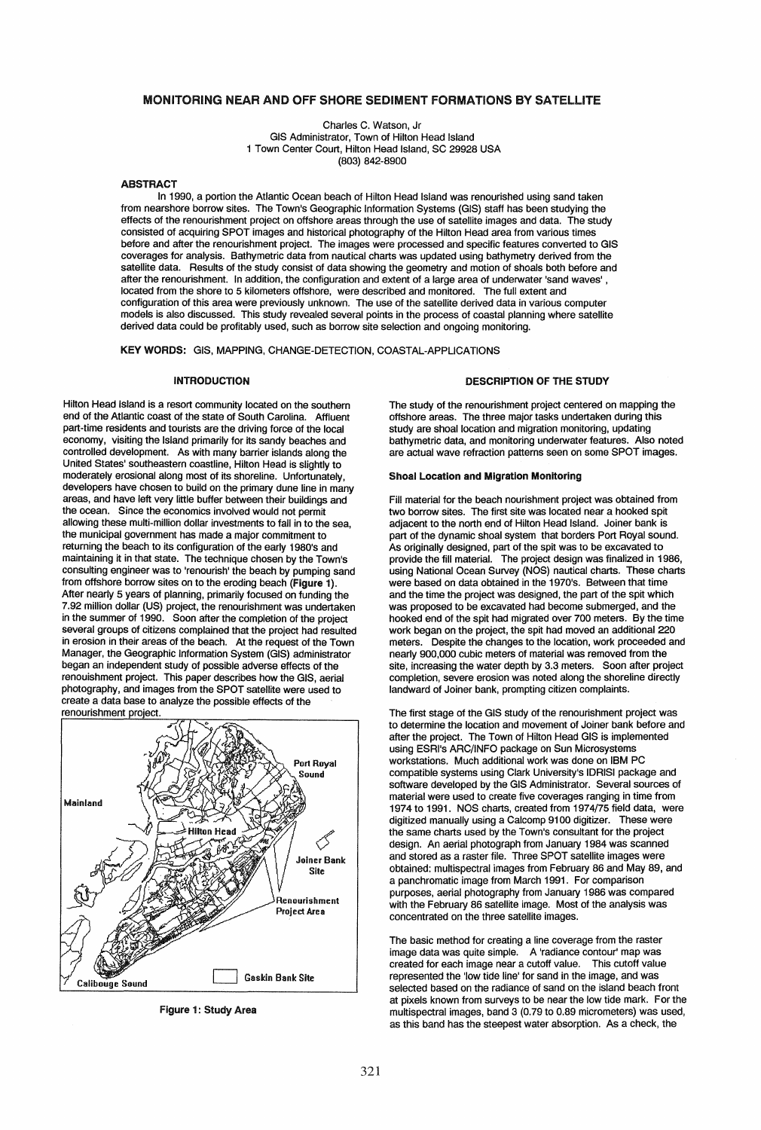# MONITORING NEAR AND OFF SHORE SEDIMENT FORMATIONS BY SATELLITE

Charles C. Watson, Jr GIS Administrator, Town of Hilton Head Island 1 Town Center Court, Hilton Head Island, SC 29928 USA (803) 842-8900

#### ABSTRACT

In 1990, a portion the Atlantic Ocean beach of Hilton Head Island was renourished using sand taken from nearshore borrow sites. The Town's Geographic Information Systems (GIS) staff has been studying the effects of the renourishment project on offshore areas through the use of satellite images and data. The study consisted of acquiring SPOT images and historical photography of the Hilton Head area from various times before and after the renourishment project. The images were processed and specific features converted to GIS coverages for analysis. Bathymetric data from nautical charts was updated using bathymetry derived from the satellite data. Results of the study consist of data showing the geometry and motion of shoals both before and after the renourishment. In addition, the configuration and extent of a large area of underwater 'sand waves' , located from the shore to 5 kilometers offshore, were described and monitored. The full extent and configuration of this area were previously unknown. The use of the satellite derived data in various computer models is also discussed. This study revealed several points in the process of coastal planning where satellite derived data could be profitably used, such as borrow site selection and ongoing monitoring.

KEY WORDS: GIS, MAPPING, CHANGE-DETECTION, COASTAL-APPLICATIONS

### INTRODUCTION

Hilton Head Island is a resort community located on the southern end of the Atlantic coast of the state of South Carolina. Affluent part-time residents and tourists are the driving force of the local economy, visiting the Island primarily for its sandy beaches and controlled development. As with many barrier islands along the United States' southeastern coastline, Hilton Head is slightly to moderately erosional along most of its shoreline. Unfortunately, developers have chosen to build on the primary dune line in many areas, and have left very little buffer between their buildings and the ocean. Since the economics involved would not permit allowing these multi-million dollar investments to fall in to the sea, the municipal government has made a major commitment to returning the beach to its configuration of the early 1980's and maintaining it in that state. The technique chosen by the Town's consulting engineer was to 'renourish' the beach by pumping sand from offshore borrow sites on to the eroding beach (Figure 1). After nearly 5 years of planning, primarily focused on funding the 7.92 million dollar (US) project, the renourishment was undertaken in the summer of 1990. Soon after the completion of the project several groups of citizens complained that the project had resulted in erosion in their areas of the beach. At the request of the Town Manager, the Geographic Information System (GIS) administrator began an independent study of possible adverse effects of the renouishment project. This paper describes how the GIS, aerial photography, and images from the SPOT satellite were used to create a data base to analyze the possible effects of the renourishment project.



Figure 1: Study Area

#### DESCRIPTION OF THE STUDY

The study of the renourishment project centered on mapping the offshore areas. The three major tasks undertaken during this study are shoal location and migration monitoring, updating bathymetric data, and monitoring underwater features. Also noted are actual wave refraction patterns seen on some SPOT images.

## Shoal location and Migration Monitoring

Fill material for the beach nourishment project was obtained from two borrow sites. The first site was located near a hooked spit adjacent to the north end of Hilton Head Island. Joiner bank is part of the dynamic shoal system that borders Port Royal sound. As originally deSigned, part of the spit was to be excavated to provide the fill material. The project design was finalized in 1986, using National Ocean Survey (NOS) nautical charts. These charts were based on data obtained in the 1970's. Between that time and the time the project was designed, the part of the spit which was proposed to be excavated had become submerged, and the hooked end of the spit had migrated over 700 meters. By the time work began on the project, the spit had moved an additional 220 meters. Despite the changes to the location, work proceeded and nearly 900,000 cubic meters of material was removed from the site, increasing the water depth by 3.3 meters. Soon after project completion, severe erosion was noted along the shoreline directly landward of Joiner bank, prompting citizen complaints.

The first stage of the GIS study of the renourishment project was to determine the location and movement of Joiner bank before and after the project. The Town of Hilton Head GIS is implemented using ESRl's ARC/INFO package on Sun Microsystems workstations. Much additional work was done on IBM PC compatible systems using Clark University's IDRISI package and software developed by the GIS Administrator. Several sources of material were used to create five coverages ranging in time from 1974 to 1991. NOS charts, created from 1974/75 field data, were digitized manually using a Calcomp 9100 digitizer. These were the same charts used by the Town's consultant for the project design. An aerial photograph from January 1984 was scanned and stored as a raster file. Three SPOT satellite images were obtained: multispectral images from February 86 and May 89, and a panchromatic image from March 1991. For comparison purposes, aerial photography from January 1986 was compared with the February 86 satellite image. Most of the analysis was concentrated on the three satellite images.

The basic method for creating a line coverage from the raster image data was quite simple. A 'radiance contour' map was created for each image near a cutoff value. This cutoff value represented the 'low tide line' for sand in the image, and was selected based on the radiance of sand on the island beach front at pixels known from surveys to be near the low tide mark. For the multispectral images, band 3 (0.79 to 0.89 micrometers) was used, as this band has the steepest water absorption. As a check, the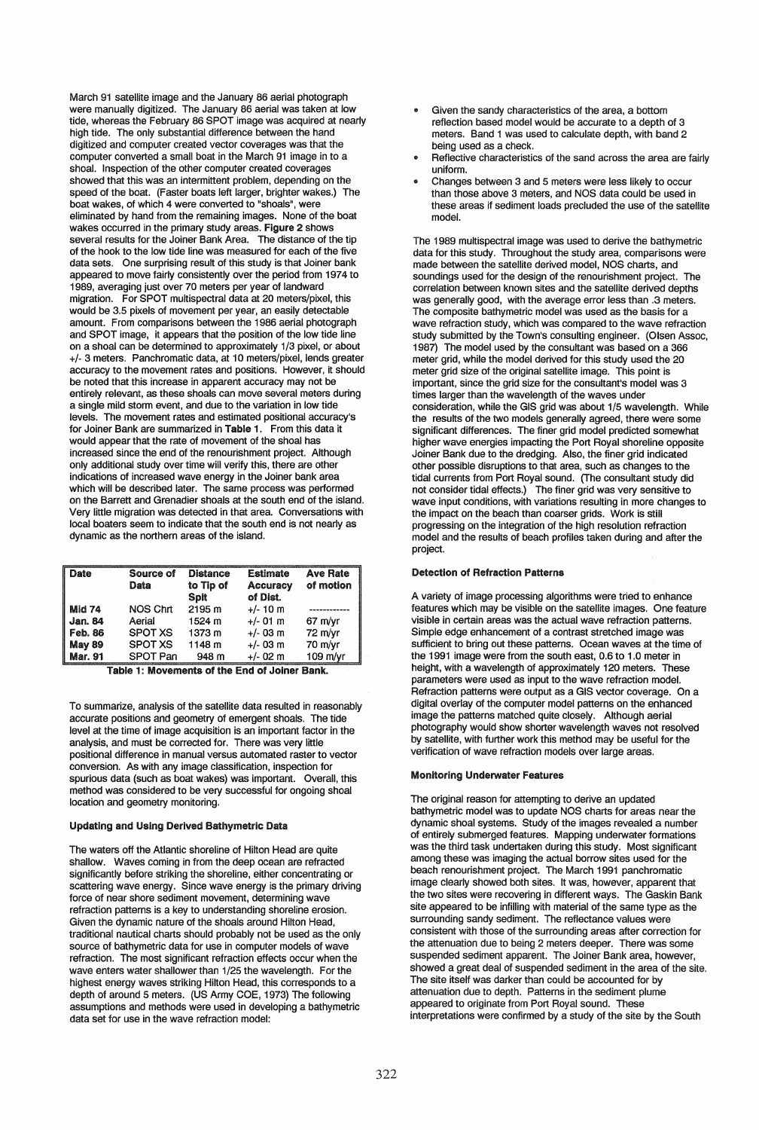March 91 satellite image and the January 86 aerial photograph were manually digitized. The January 86 aerial was taken at low tide, whereas the February 86 SPOT image was acquired at nearly high tide. The only substantial difference between the hand digitized and computer created vector coverages was that the computer converted a small boat in the March 91 image in to a shoal. Inspection of the other computer created coverages showed that this was an intermittent problem, depending on the speed of the boat. (Faster boats left larger, brighter wakes.) The boat wakes, of which 4 were converted to "shoals". were eliminated by hand from the remaining images. None of the boat wakes occurred in the primary study areas. Figure 2 shows several results for the Joiner Bank Area. The distance of the tip of the hook to the low tide line was measured for each of the five data sets. One surprising result of this study is that Joiner bank appeared to move fairly consistently over the period from 1974 to 1989, averaging just over 70 meters per year of landward migration. For SPOT multispectral data at 20 meters/pixel, this would be 3.5 pixels of movement per year, an easily detectable amount. From comparisons between the 1986 aerial photograph and SPOT image, it appears that the position of the low tide line on a shoal can be determined to approximately 1/3 pixel, or about +/- 3 meters. Panchromatic data, at 10 meters/pixel, lends greater accuracy to the movement rates and positions. However, it should be noted that this increase in apparent accuracy may not be entirely relevant, as these shoals can move several meters during a single mild storm event, and due to the variation in low tide levels. The movement rates and estimated positional accuracy's for Joiner Bank are summarized in Table 1. From this data it would appear that the rate of movement of the shoal has increased since the end of the renourishment project. Although only additional study over time will verify this, there are other indications of increased wave energy in the Joiner bank area which will be described later. The same process was performed on the Barrett and Grenadier shoals at the south end of the island. Very little migration was detected in that area. Conversations with local boaters seem to indicate that the south end is not nearly as dynamic as the northern areas of the island.

| Date           | Source of<br>Data | <b>Distance</b><br>to Tip of<br>Spit | <b>Estimate</b><br><b>Accuracy</b><br>of Dist. | <b>Ave Rate</b><br>of motion |
|----------------|-------------------|--------------------------------------|------------------------------------------------|------------------------------|
| Mid 74         | NOS Chrt          | 2195 m                               | $+/- 10$ m                                     |                              |
| <b>Jan. 84</b> | Aerial            | 1524 m                               | $+/-$ 01 m                                     | $67$ m/yr                    |
| Feb. 86        | <b>SPOT XS</b>    | 1373 m                               | $+/-$ 03 m                                     | 72 m/vr                      |
| <b>May 89</b>  | <b>SPOT XS</b>    | 1148 m                               | $+/-$ 03 m                                     | 70 m/yr                      |
| Mar. 91        | <b>SPOT Pan</b>   | 948 m                                | $+/- 02$ m                                     | 109 m/yr                     |

Table 1: Movements of the End of Joiner Bank.

To summarize, analysis of the satellite data resulted in reasonably accurate positions and geometry of emergent shoals. The tide level at the time of image acquisition is an important factor in the analysis, and must be corrected for. There was very little positional difference in manual versus automated raster to vector conversion. As with any image classification, inspection for spurious data (such as boat wakes) was important. Overall, this method was considered to be very successful for ongoing shoal location and geometry monitoring.

# Updating and Using Derived Bathymetric Data

The waters off the Atlantic shoreline of Hilton Head are quite shallow. Waves coming in from the deep ocean are refracted significantly before striking the shoreline, either concentrating or scattering wave energy. Since wave energy is the primary driving force of near shore sediment movement, determining wave refraction patterns is a key to understanding shoreline erosion. Given the dynamic nature of the shoals around Hilton Head, traditional nautical charts should probably not be used as the only source of bathymetric data for use in computer models of wave refraction. The most significant refraction effects occur when the wave enters water shallower than 1/25 the wavelength. For the highest energy waves striking Hilton Head, this corresponds to a depth of around 5 meters. (US Army COE, 1973) The following assumptions and methods were used in developing a bathymetric data set for use in the wave refraction model:

- Given the sandy characteristics of the area, a bottom reflection based model would be accurate to a depth of 3 meters. Band 1 was used to calculate depth, with band 2 being used as a check.
- Reflective characteristics of the sand across the area are fairly uniform.
- .. Changes between 3 and 5 meters were less likely to occur than those above 3 meters, and NOS data could be used in these areas if sediment loads precluded the use of the satellite model.

The 1989 multispectral image was used to derive the bathymetric data for this study. Throughout the study area, comparisons were made between the satellite derived model, NOS charts, and soundings used for the design of the renourishment project. The correlation between known sites and the satellite derived depths was generally good, with the average error less than .3 meters. The composite bathymetric model was used as the basis for a wave refraction study, which was compared to the wave refraction study submitted by the Town's consulting engineer. (Olsen Assoc, 1987) The model used by the consultant was based on a 366 meter arid, while the model derived for this study used the 20 meter grid size of the original satellite image. This point is important, since the grid size for the consultant's model was 3 times larger than the wavelength of the waves under consideration, while the GIS grid was about 1/5 wavelength. While the results of the two models generally agreed, there were some significant differences. The finer grid model predicted somewhat higher wave energies impacting the Port Royal shoreline opposite Joiner Bank due to the dredging. Also, the finer grid indicated other possible disruptions to that area, such as changes to the tidal currents from Port Royal sound. (The consultant study did not consider tidal effects.) The finer grid was very sensitive to wave input conditions, with variations resulting in more changes to the impact on the beach than coarser grids. Work is still progressing on the integration of the high resolution refraction model and the results of beach profiles taken during and after the project.

#### Detection of Refraction Patterns

A variety of image processing algorithms were tried to enhance features which may be visible on the satellite images. One feature visible in certain areas was the actual wave refraction patterns. Simple edge enhancement of a contrast stretched image was sufficient to bring out these patterns. Ocean waves at the time of the 1991 image were from the south east, 0.6 to 1 .0 meter in height, with a wavelength of approximately 120 meters. These parameters were used as input to the wave refraction model. Refraction patterns were output as a GIS vector coverage. On a digital overlay of the computer model patterns on the enhanced image the patterns matched quite closely. Although aerial photography would show shorter wavelength waves not resolved by satellite, with further work this method may be useful for the verification of wave refraction models over large areas.

## Monitoring Underwater Features

The original reason for attempting to derive an updated bathymetric model was to update NOS charts for areas near the dynamic shoal systems. Study of the images revealed a number of entirely submerged features. Mapping underwater formations was the third task undertaken during this study. Most significant among these was imaging the actual borrow sites used for the beach renourishment project. The March 1991 panchromatic image clearly showed both sites. It was, however, apparent that the two sites were recovering in different ways. The Gaskin Bank site appeared to be infilling with material of the same type as the surrounding sandy sediment. The reflectance values were consistent with those of the surrounding areas after correction for the attenuation due to being 2 meters deeper. There was some suspended sediment apparent. The Joiner Bank area, however, showed a great deal of suspended sediment in the area of the site. The site itself was darker than couid be accounted for by attenuation due to depth. Patterns in the sediment plume appeared to originate from Port Royal sound. These interpretations were confirmed by a study of the site by the South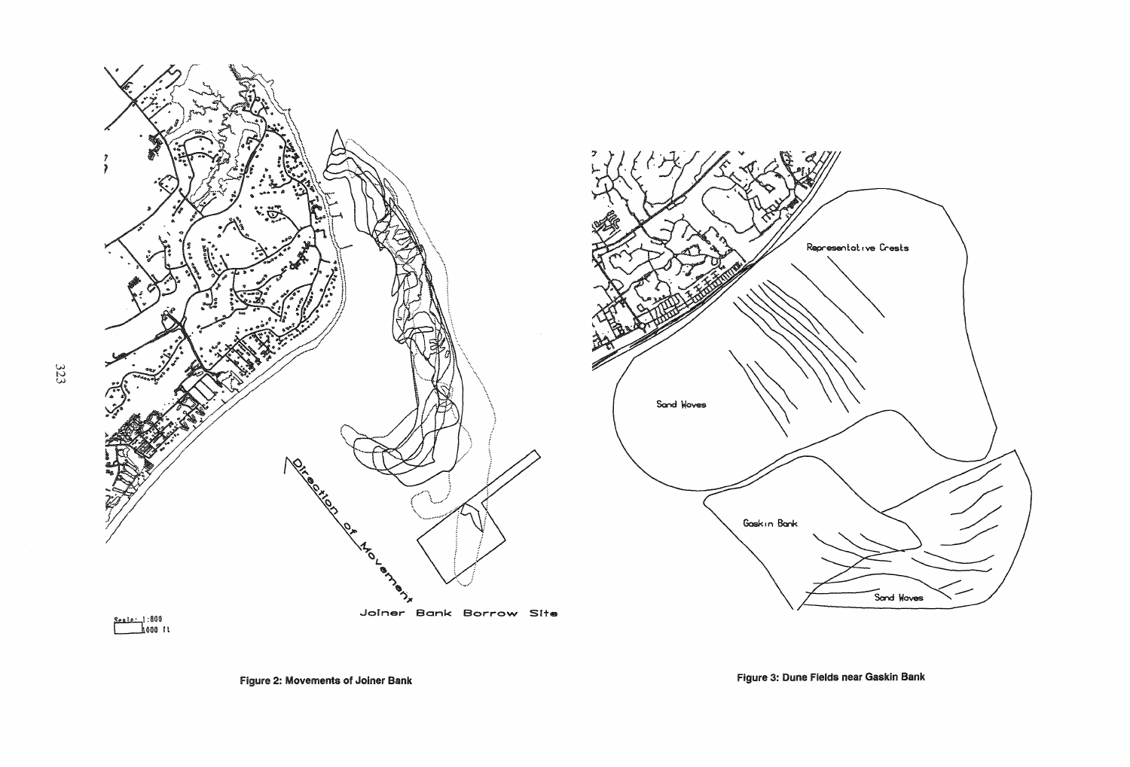



Seale: 1:800<br>1000 ft

Figure 3: Dune Fields near Gaskin Bank